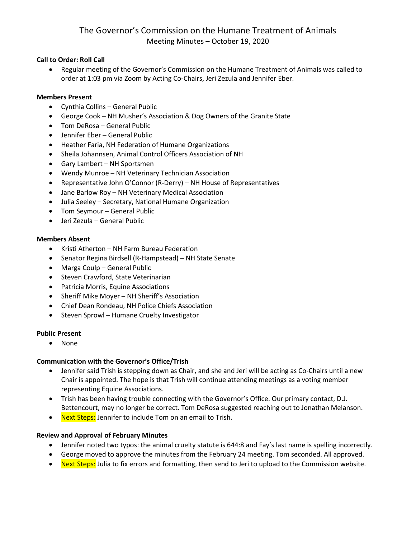# The Governor's Commission on the Humane Treatment of Animals Meeting Minutes – October 19, 2020

### **Call to Order: Roll Call**

• Regular meeting of the Governor's Commission on the Humane Treatment of Animals was called to order at 1:03 pm via Zoom by Acting Co-Chairs, Jeri Zezula and Jennifer Eber.

#### **Members Present**

- Cynthia Collins General Public
- George Cook NH Musher's Association & Dog Owners of the Granite State
- Tom DeRosa General Public
- Jennifer Eber General Public
- Heather Faria, NH Federation of Humane Organizations
- Sheila Johannsen, Animal Control Officers Association of NH
- Gary Lambert NH Sportsmen
- Wendy Munroe NH Veterinary Technician Association
- Representative John O'Connor (R-Derry) NH House of Representatives
- Jane Barlow Roy NH Veterinary Medical Association
- Julia Seeley Secretary, National Humane Organization
- Tom Seymour General Public
- Jeri Zezula General Public

#### **Members Absent**

- Kristi Atherton NH Farm Bureau Federation
- Senator Regina Birdsell (R-Hampstead) NH State Senate
- Marga Coulp General Public
- Steven Crawford, State Veterinarian
- Patricia Morris, Equine Associations
- Sheriff Mike Moyer NH Sheriff's Association
- Chief Dean Rondeau, NH Police Chiefs Association
- Steven Sprowl Humane Cruelty Investigator

#### **Public Present**

• None

#### **Communication with the Governor's Office/Trish**

- Jennifer said Trish is stepping down as Chair, and she and Jeri will be acting as Co-Chairs until a new Chair is appointed. The hope is that Trish will continue attending meetings as a voting member representing Equine Associations.
- Trish has been having trouble connecting with the Governor's Office. Our primary contact, D.J. Bettencourt, may no longer be correct. Tom DeRosa suggested reaching out to Jonathan Melanson.
- Next Steps: Jennifer to include Tom on an email to Trish.

#### **Review and Approval of February Minutes**

- Jennifer noted two typos: the animal cruelty statute is 644:8 and Fay's last name is spelling incorrectly.
- George moved to approve the minutes from the February 24 meeting. Tom seconded. All approved.
- Next Steps: Julia to fix errors and formatting, then send to Jeri to upload to the Commission website.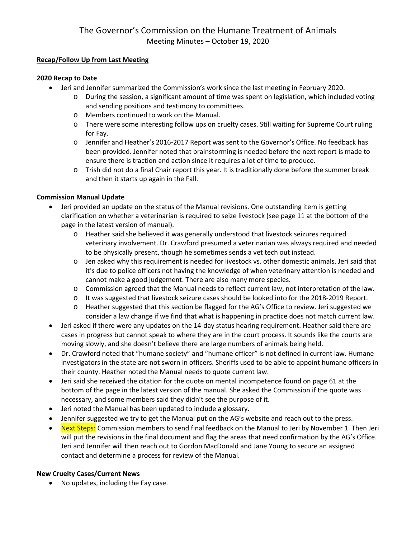### **Recap/Follow Up from Last Meeting**

## **2020 Recap to Date**

- Jeri and Jennifer summarized the Commission's work since the last meeting in February 2020.
	- o During the session, a significant amount of time was spent on legislation, which included voting and sending positions and testimony to committees.
	- o Members continued to work on the Manual.
	- o There were some interesting follow ups on cruelty cases. Still waiting for Supreme Court ruling for Fay.
	- o Jennifer and Heather's 2016-2017 Report was sent to the Governor's Office. No feedback has been provided. Jennifer noted that brainstorming is needed before the next report is made to ensure there is traction and action since it requires a lot of time to produce.
	- $\circ$  Trish did not do a final Chair report this year. It is traditionally done before the summer break and then it starts up again in the Fall.

# **Commission Manual Update**

- Jeri provided an update on the status of the Manual revisions. One outstanding item is getting clarification on whether a veterinarian is required to seize livestock (see page 11 at the bottom of the page in the latest version of manual).
	- o Heather said she believed it was generally understood that livestock seizures required veterinary involvement. Dr. Crawford presumed a veterinarian was always required and needed to be physically present, though he sometimes sends a vet tech out instead.
	- o Jen asked why this requirement is needed for livestock vs. other domestic animals. Jeri said that it's due to police officers not having the knowledge of when veterinary attention is needed and cannot make a good judgement. There are also many more species.
	- o Commission agreed that the Manual needs to reflect current law, not interpretation of the law.
	- o It was suggested that livestock seizure cases should be looked into for the 2018-2019 Report.
	- o Heather suggested that this section be flagged for the AG's Office to review. Jeri suggested we consider a law change if we find that what is happening in practice does not match current law.
- Jeri asked if there were any updates on the 14-day status hearing requirement. Heather said there are cases in progress but cannot speak to where they are in the court process. It sounds like the courts are moving slowly, and she doesn't believe there are large numbers of animals being held.
- Dr. Crawford noted that "humane society" and "humane officer" is not defined in current law. Humane investigators in the state are not sworn in officers. Sheriffs used to be able to appoint humane officers in their county. Heather noted the Manual needs to quote current law.
- Jeri said she received the citation for the quote on mental incompetence found on page 61 at the bottom of the page in the latest version of the manual. She asked the Commission if the quote was necessary, and some members said they didn't see the purpose of it.
- Jeri noted the Manual has been updated to include a glossary.
- Jennifer suggested we try to get the Manual put on the AG's website and reach out to the press.
- Next Steps: Commission members to send final feedback on the Manual to Jeri by November 1. Then Jeri will put the revisions in the final document and flag the areas that need confirmation by the AG's Office. Jeri and Jennifer will then reach out to Gordon MacDonald and Jane Young to secure an assigned contact and determine a process for review of the Manual.

# **New Cruelty Cases/Current News**

• No updates, including the Fay case.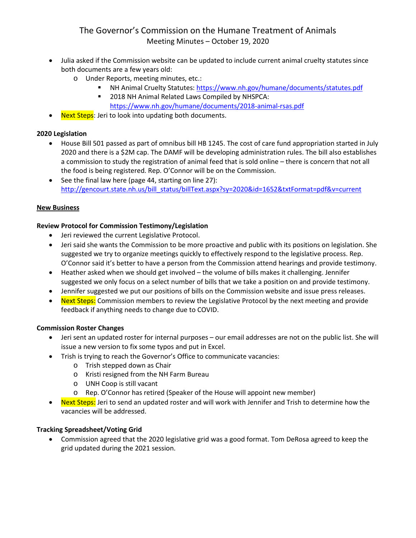# The Governor's Commission on the Humane Treatment of Animals Meeting Minutes – October 19, 2020

- Julia asked if the Commission website can be updated to include current animal cruelty statutes since both documents are a few years old:
	- o Under Reports, meeting minutes, etc.:
		- NH Animal Cruelty Statutes:<https://www.nh.gov/humane/documents/statutes.pdf>
			- **2018 NH Animal Related Laws Compiled by NHSPCA:** <https://www.nh.gov/humane/documents/2018-animal-rsas.pdf>
- Next Steps: Jeri to look into updating both documents.

#### **2020 Legislation**

- House Bill 501 passed as part of omnibus bill HB 1245. The cost of care fund appropriation started in July 2020 and there is a \$2M cap. The DAMF will be developing administration rules. The bill also establishes a commission to study the registration of animal feed that is sold online – there is concern that not all the food is being registered. Rep. O'Connor will be on the Commission.
- See the final law here (page 44, starting on line 27): [http://gencourt.state.nh.us/bill\\_status/billText.aspx?sy=2020&id=1652&txtFormat=pdf&v=current](http://gencourt.state.nh.us/bill_status/billText.aspx?sy=2020&id=1652&txtFormat=pdf&v=current)

#### **New Business**

#### **Review Protocol for Commission Testimony/Legislation**

- Jeri reviewed the current Legislative Protocol.
- Jeri said she wants the Commission to be more proactive and public with its positions on legislation. She suggested we try to organize meetings quickly to effectively respond to the legislative process. Rep. O'Connor said it's better to have a person from the Commission attend hearings and provide testimony.
- Heather asked when we should get involved the volume of bills makes it challenging. Jennifer suggested we only focus on a select number of bills that we take a position on and provide testimony.
- Jennifer suggested we put our positions of bills on the Commission website and issue press releases.
- Next Steps: Commission members to review the Legislative Protocol by the next meeting and provide feedback if anything needs to change due to COVID.

#### **Commission Roster Changes**

- Jeri sent an updated roster for internal purposes our email addresses are not on the public list. She will issue a new version to fix some typos and put in Excel.
- Trish is trying to reach the Governor's Office to communicate vacancies:
	- o Trish stepped down as Chair
	- o Kristi resigned from the NH Farm Bureau
	- o UNH Coop is still vacant
	- o Rep. O'Connor has retired (Speaker of the House will appoint new member)
- Next Steps: Jeri to send an updated roster and will work with Jennifer and Trish to determine how the vacancies will be addressed.

## **Tracking Spreadsheet/Voting Grid**

• Commission agreed that the 2020 legislative grid was a good format. Tom DeRosa agreed to keep the grid updated during the 2021 session.